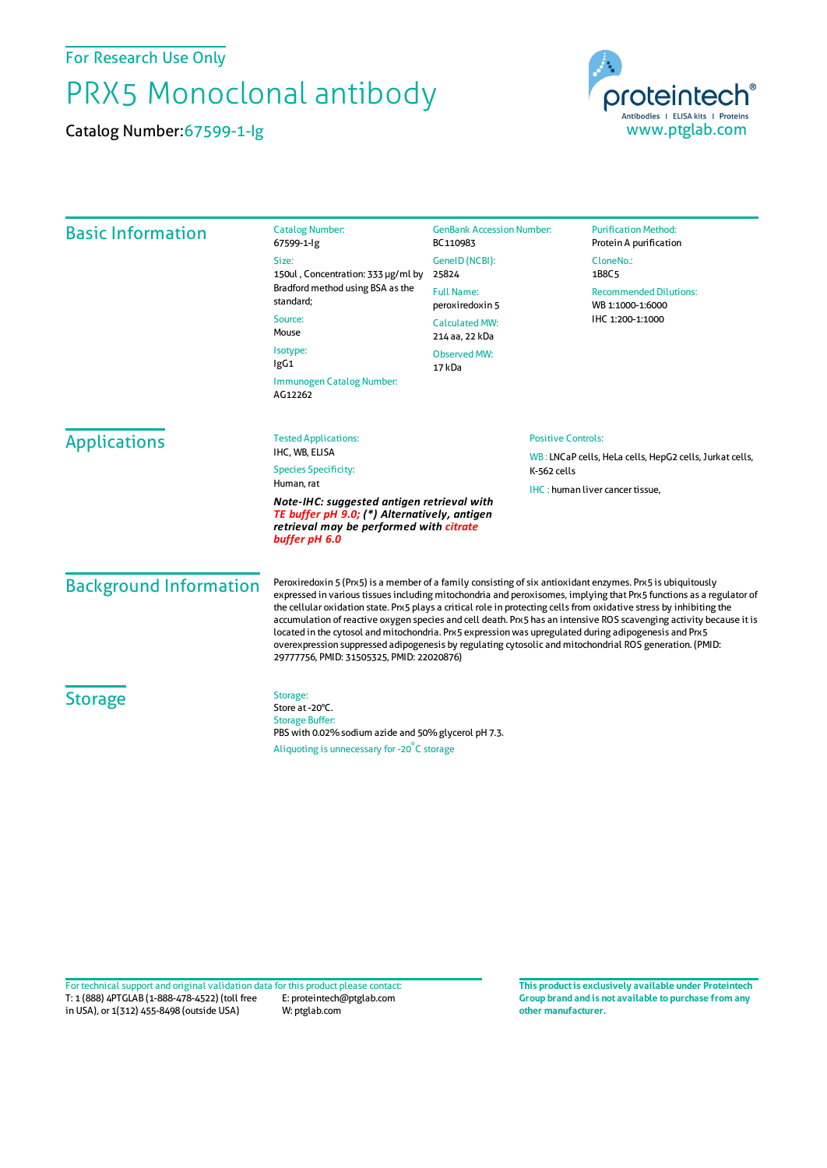For Research Use Only

## PRX5 Monoclonal antibody

Catalog Number:67599-1-Ig



| <b>Basic Information</b>                                                                                                                               | <b>Catalog Number:</b><br>67599-1-lg                                                                                                                                                                                                                                                                                                                                                                                                                                                                                                                                                                                                                                                                                                              | <b>GenBank Accession Number:</b><br>BC110983                                    | <b>Purification Method:</b><br>Protein A purification                 |                               |
|--------------------------------------------------------------------------------------------------------------------------------------------------------|---------------------------------------------------------------------------------------------------------------------------------------------------------------------------------------------------------------------------------------------------------------------------------------------------------------------------------------------------------------------------------------------------------------------------------------------------------------------------------------------------------------------------------------------------------------------------------------------------------------------------------------------------------------------------------------------------------------------------------------------------|---------------------------------------------------------------------------------|-----------------------------------------------------------------------|-------------------------------|
|                                                                                                                                                        | Size:<br>150ul, Concentration: 333 µg/ml by<br>Bradford method using BSA as the<br>standard;<br>Source:<br>Mouse<br>Isotype:<br>lgG1                                                                                                                                                                                                                                                                                                                                                                                                                                                                                                                                                                                                              | GenelD (NCBI):<br>25824                                                         | CloneNo.:<br>1B8C <sub>5</sub>                                        |                               |
|                                                                                                                                                        |                                                                                                                                                                                                                                                                                                                                                                                                                                                                                                                                                                                                                                                                                                                                                   | <b>Full Name:</b><br>peroxiredoxin 5<br><b>Calculated MW:</b><br>214 aa, 22 kDa | <b>Recommended Dilutions:</b><br>WB 1:1000-1:6000<br>IHC 1:200-1:1000 |                               |
|                                                                                                                                                        |                                                                                                                                                                                                                                                                                                                                                                                                                                                                                                                                                                                                                                                                                                                                                   |                                                                                 |                                                                       | <b>Observed MW:</b><br>17 kDa |
|                                                                                                                                                        |                                                                                                                                                                                                                                                                                                                                                                                                                                                                                                                                                                                                                                                                                                                                                   | Immunogen Catalog Number:<br>AG12262                                            |                                                                       |                               |
|                                                                                                                                                        | <b>Applications</b>                                                                                                                                                                                                                                                                                                                                                                                                                                                                                                                                                                                                                                                                                                                               | <b>Tested Applications:</b><br>IHC, WB, ELISA                                   |                                                                       | <b>Positive Controls:</b>     |
| <b>Species Specificity:</b><br>Human, rat                                                                                                              |                                                                                                                                                                                                                                                                                                                                                                                                                                                                                                                                                                                                                                                                                                                                                   | K-562 cells                                                                     | WB: LNCaP cells, HeLa cells, HepG2 cells, Jurkat cells,               |                               |
| Note-IHC: suggested antigen retrieval with<br>TE buffer pH 9.0; (*) Alternatively, antigen<br>retrieval may be performed with citrate<br>buffer pH 6.0 |                                                                                                                                                                                                                                                                                                                                                                                                                                                                                                                                                                                                                                                                                                                                                   | IHC: human liver cancer tissue,                                                 |                                                                       |                               |
| <b>Background Information</b>                                                                                                                          | Peroxiredoxin 5 (Prx5) is a member of a family consisting of six antioxidant enzymes. Prx5 is ubiquitously<br>expressed in various tissues including mitochondria and peroxisomes, implying that Prx5 functions as a regulator of<br>the cellular oxidation state. Prx5 plays a critical role in protecting cells from oxidative stress by inhibiting the<br>accumulation of reactive oxygen species and cell death. Prx5 has an intensive ROS scavenging activity because it is<br>located in the cytosol and mitochondria. Prx5 expression was upregulated during adipogenesis and Prx5<br>overexpression suppressed adipogenesis by regulating cytosolic and mitochondrial ROS generation. (PMID:<br>29777756, PMID: 31505325, PMID: 22020876) |                                                                                 |                                                                       |                               |
| <b>Storage</b>                                                                                                                                         | Storage:<br>Store at -20°C.<br><b>Storage Buffer:</b><br>PBS with 0.02% sodium azide and 50% glycerol pH 7.3.<br>Aliquoting is unnecessary for -20°C storage                                                                                                                                                                                                                                                                                                                                                                                                                                                                                                                                                                                      |                                                                                 |                                                                       |                               |

T: 1 (888) 4PTGLAB (1-888-478-4522) (toll free in USA), or 1(312) 455-8498 (outside USA) E: proteintech@ptglab.com W: ptglab.com Fortechnical support and original validation data forthis product please contact: **This productis exclusively available under Proteintech**

**Group brand and is not available to purchase from any other manufacturer.**